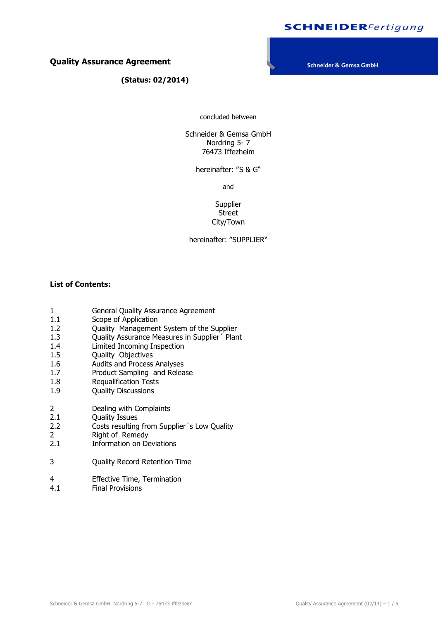# **SCHNEIDER**Fertigung

## **Quality Assurance Agreement**

 **(Status: 02/2014)**

Schneider & Gemsa GmbH

concluded between

Schneider & Gemsa GmbH Nordring 5- 7 76473 Iffezheim

hereinafter: "S & G"

and

Supplier Street City/Town

hereinafter: "SUPPLIER"

## **List of Contents:**

- 1 General Quality Assurance Agreement
- 1.1 Scope of Application
- 1.2 Quality Management System of the Supplier
- 1.3 Quality Assurance Measures in Supplier Plant
- 1.4 Limited Incoming Inspection
- 1.5 Quality Objectives
- 1.6 Audits and Process Analyses
- 1.7 Product Sampling and Release
- 1.8 Requalification Tests<br>1.9 Ouality Discussions
- Quality Discussions
- 2 Dealing with Complaints
- 2.1 Quality Issues
- 2.2 Costs resulting from Supplier´s Low Quality
- 2 Right of Remedy
- 2.1 Information on Deviations
- 3 Quality Record Retention Time
- 4 Effective Time, Termination
- 4.1 Final Provisions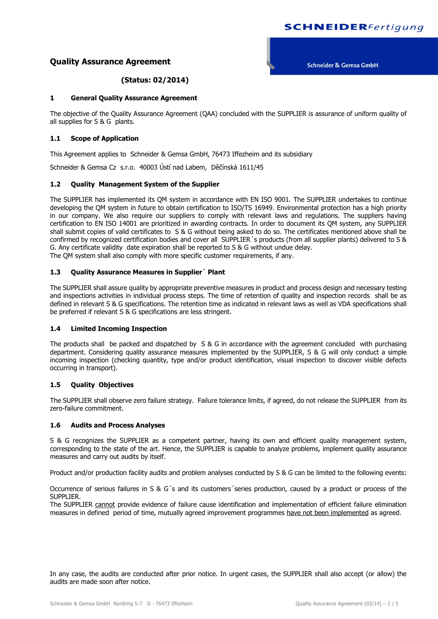# **SCHNEIDER**Fertigung

## **Quality Assurance Agreement**

**Schneider & Gemsa GmbH** 

## **(Status: 02/2014)**

#### **1 General Quality Assurance Agreement**

The objective of the Quality Assurance Agreement (QAA) concluded with the SUPPLIER is assurance of uniform quality of all supplies for S & G plants.

#### **1.1 Scope of Application**

This Agreement applies to Schneider & Gemsa GmbH, 76473 Iffezheim and its subsidiary

Schneider & Gemsa Cz s.r.o. 40003 Ústí nad Labem, Děčínská 1611/45

#### **1.2 Quality Management System of the Supplier**

The SUPPLIER has implemented its QM system in accordance with EN ISO 9001. The SUPPLIER undertakes to continue developing the QM system in future to obtain certification to ISO/TS 16949. Environmental protection has a high priority in our company. We also require our suppliers to comply with relevant laws and regulations. The suppliers having certification to EN ISO 14001 are prioritized in awarding contracts. In order to document its QM system, any SUPPLIER shall submit copies of valid certificates to S & G without being asked to do so. The certificates mentioned above shall be confirmed by recognized certification bodies and cover all SUPPLIER 's products (from all supplier plants) delivered to S & G. Any certificate validity date expiration shall be reported to S & G without undue delay. The QM system shall also comply with more specific customer requirements, if any.

#### **1.3 Quality Assurance Measures in Supplier´ Plant**

The SUPPLIER shall assure quality by appropriate preventive measures in product and process design and necessary testing and inspections activities in individual process steps. The time of retention of quality and inspection records shall be as defined in relevant S & G specifications. The retention time as indicated in relevant laws as well as VDA specifications shall be preferred if relevant S & G specifications are less stringent.

#### **1.4 Limited Incoming Inspection**

The products shall be packed and dispatched by S & G in accordance with the agreement concluded with purchasing department. Considering quality assurance measures implemented by the SUPPLIER, S & G will only conduct a simple incoming inspection (checking quantity, type and/or product identification, visual inspection to discover visible defects occurring in transport).

### **1.5 Quality Objectives**

The SUPPLIER shall observe zero failure strategy. Failure tolerance limits, if agreed, do not release the SUPPLIER from its zero-failure commitment.

#### **1.6 Audits and Process Analyses**

S & G recognizes the SUPPLIER as a competent partner, having its own and efficient quality management system, corresponding to the state of the art. Hence, the SUPPLIER is capable to analyze problems, implement quality assurance measures and carry out audits by itself.

Product and/or production facility audits and problem analyses conducted by S & G can be limited to the following events:

Occurrence of serious failures in S & G´s and its customers´series production, caused by a product or process of the SUPPLIER.

The SUPPLIER cannot provide evidence of failure cause identification and implementation of efficient failure elimination measures in defined period of time, mutually agreed improvement programmes have not been implemented as agreed.

In any case, the audits are conducted after prior notice. In urgent cases, the SUPPLIER shall also accept (or allow) the audits are made soon after notice.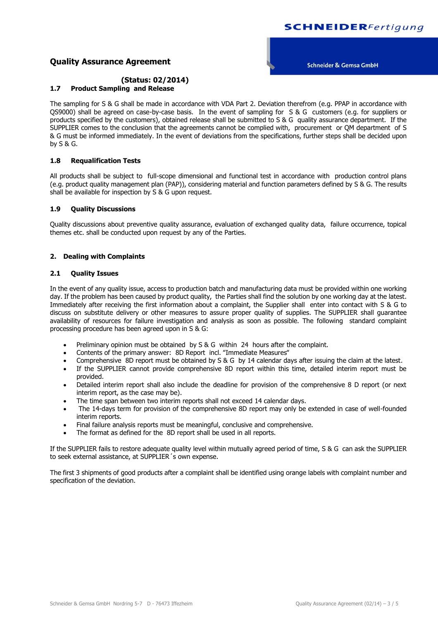## **Quality Assurance Agreement**

#### **Schneider & Gemsa GmbH**

#### **(Status: 02/2014) 1.7 Product Sampling and Release**

The sampling for S & G shall be made in accordance with VDA Part 2. Deviation therefrom (e.g. PPAP in accordance with QS9000) shall be agreed on case-by-case basis. In the event of sampling for S & G customers (e.g. for suppliers or products specified by the customers), obtained release shall be submitted to S & G quality assurance department. If the SUPPLIER comes to the conclusion that the agreements cannot be complied with, procurement or QM department of S & G must be informed immediately. In the event of deviations from the specifications, further steps shall be decided upon by S & G.

#### **1.8 Requalification Tests**

All products shall be subject to full-scope dimensional and functional test in accordance with production control plans (e.g. product quality management plan (PAP)), considering material and function parameters defined by S & G. The results shall be available for inspection by S & G upon request.

#### **1.9 Quality Discussions**

Quality discussions about preventive quality assurance, evaluation of exchanged quality data, failure occurrence, topical themes etc. shall be conducted upon request by any of the Parties.

#### **2. Dealing with Complaints**

#### **2.1 Quality Issues**

In the event of any quality issue, access to production batch and manufacturing data must be provided within one working day. If the problem has been caused by product quality, the Parties shall find the solution by one working day at the latest. Immediately after receiving the first information about a complaint, the Supplier shall enter into contact with S & G to discuss on substitute delivery or other measures to assure proper quality of supplies. The SUPPLIER shall guarantee availability of resources for failure investigation and analysis as soon as possible. The following standard complaint processing procedure has been agreed upon in S & G:

- Preliminary opinion must be obtained by S & G within 24 hours after the complaint.
- Contents of the primary answer: 8D Report incl. "Immediate Measures"
- Comprehensive 8D report must be obtained by S & G by 14 calendar days after issuing the claim at the latest.
- If the SUPPLIER cannot provide comprehensive 8D report within this time, detailed interim report must be provided.
- Detailed interim report shall also include the deadline for provision of the comprehensive 8 D report (or next interim report, as the case may be).
- The time span between two interim reports shall not exceed 14 calendar days.
- The 14-days term for provision of the comprehensive 8D report may only be extended in case of well-founded interim reports.
- Final failure analysis reports must be meaningful, conclusive and comprehensive.
- The format as defined for the 8D report shall be used in all reports.

If the SUPPLIER fails to restore adequate quality level within mutually agreed period of time, S & G can ask the SUPPLIER to seek external assistance, at SUPPLIER´s own expense.

The first 3 shipments of good products after a complaint shall be identified using orange labels with complaint number and specification of the deviation.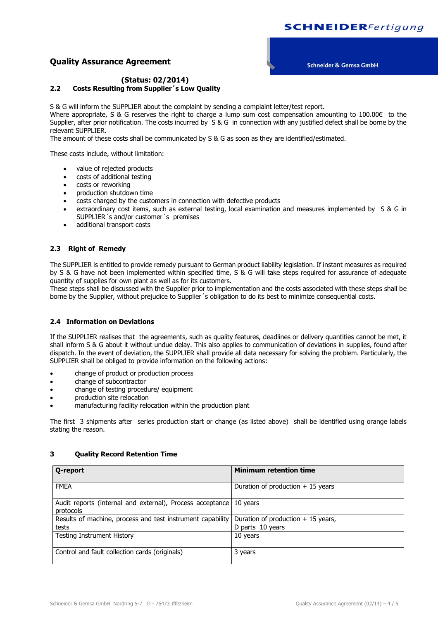## **Quality Assurance Agreement**

**Schneider & Gemsa GmbH** 

## **(Status: 02/2014) 2.2 Costs Resulting from Supplier´s Low Quality**

S & G will inform the SUPPLIER about the complaint by sending a complaint letter/test report.

Where appropriate, S & G reserves the right to charge a lump sum cost compensation amounting to 100.00€ to the Supplier, after prior notification. The costs incurred by S & G in connection with any justified defect shall be borne by the relevant SUPPLIER.

The amount of these costs shall be communicated by S & G as soon as they are identified/estimated.

These costs include, without limitation:

- value of rejected products
- costs of additional testing
- costs or reworking
- production shutdown time
- costs charged by the customers in connection with defective products
- extraordinary cost items, such as external testing, local examination and measures implemented by S & G in SUPPLIER´s and/or customer´s premises
- additional transport costs

### **2.3 Right of Remedy**

The SUPPLIER is entitled to provide remedy pursuant to German product liability legislation. If instant measures as required by S & G have not been implemented within specified time, S & G will take steps required for assurance of adequate quantity of supplies for own plant as well as for its customers.

These steps shall be discussed with the Supplier prior to implementation and the costs associated with these steps shall be borne by the Supplier, without prejudice to Supplier´s obligation to do its best to minimize consequential costs.

### **2.4 Information on Deviations**

If the SUPPLIER realises that the agreements, such as quality features, deadlines or delivery quantities cannot be met, it shall inform S & G about it without undue delay. This also applies to communication of deviations in supplies, found after dispatch. In the event of deviation, the SUPPLIER shall provide all data necessary for solving the problem. Particularly, the SUPPLIER shall be obliged to provide information on the following actions:

- change of product or production process
- change of subcontractor
- change of testing procedure/ equipment
- production site relocation
- manufacturing facility relocation within the production plant

The first 3 shipments after series production start or change (as listed above) shall be identified using orange labels stating the reason.

| <b>Q-report</b>                                                        | <b>Minimum retention time</b>       |
|------------------------------------------------------------------------|-------------------------------------|
| <b>FMEA</b>                                                            | Duration of production $+15$ years  |
| Audit reports (internal and external), Process acceptance<br>protocols | 10 years                            |
| Results of machine, process and test instrument capability             | Duration of production $+15$ years, |
| tests                                                                  | D parts 10 years                    |
| <b>Testing Instrument History</b>                                      | 10 years                            |
| Control and fault collection cards (originals)                         | 3 years                             |

## **3 Quality Record Retention Time**